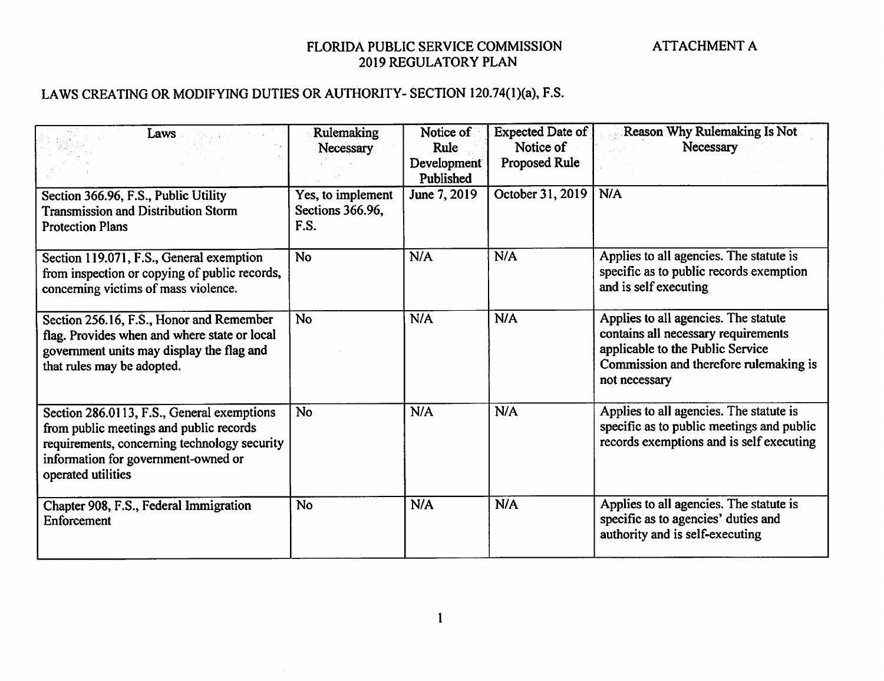# LAWS CREATING OR MODIFYING DUTIES OR AUTHORITY- SECTION 120.74(1)(a), F.S.

 $\sim$   $\sim$ 

| Laws                                                                                                                                                                                               | Rulemaking                                    | Notice of<br>Rule        | Expected Date of<br>Notice of | <b>Reason Why Rulemaking Is Not</b><br>Necessary                                                                                                                           |
|----------------------------------------------------------------------------------------------------------------------------------------------------------------------------------------------------|-----------------------------------------------|--------------------------|-------------------------------|----------------------------------------------------------------------------------------------------------------------------------------------------------------------------|
|                                                                                                                                                                                                    | Necessary                                     | Development<br>Published | Proposed Rule                 |                                                                                                                                                                            |
| Section 366.96, F.S., Public Utility<br><b>Transmission and Distribution Storm</b><br><b>Protection Plans</b>                                                                                      | Yes, to implement<br>Sections 366.96,<br>F.S. | June 7, 2019             | October 31, 2019              | N/A                                                                                                                                                                        |
| Section 119.071, F.S., General exemption<br>from inspection or copying of public records,<br>concerning victims of mass violence.                                                                  | <b>No</b>                                     | N/A                      | N/A                           | Applies to all agencies. The statute is<br>specific as to public records exemption<br>and is self executing                                                                |
| Section 256.16, F.S., Honor and Remember<br>flag. Provides when and where state or local<br>government units may display the flag and<br>that rules may be adopted.                                | No                                            | N/A                      | N/A                           | Applies to all agencies. The statute<br>contains all necessary requirements<br>applicable to the Public Service<br>Commission and therefore rulemaking is<br>not necessary |
| Section 286.0113, F.S., General exemptions<br>from public meetings and public records<br>requirements, concerning technology security<br>information for government-owned or<br>operated utilities | <b>No</b>                                     | N/A                      | N/A                           | Applies to all agencies. The statute is<br>specific as to public meetings and public<br>records exemptions and is self executing                                           |
| Chapter 908, F.S., Federal Immigration<br>Enforcement                                                                                                                                              | <b>No</b>                                     | N/A                      | N/A                           | Applies to all agencies. The statute is<br>specific as to agencies' duties and<br>authority and is self-executing                                                          |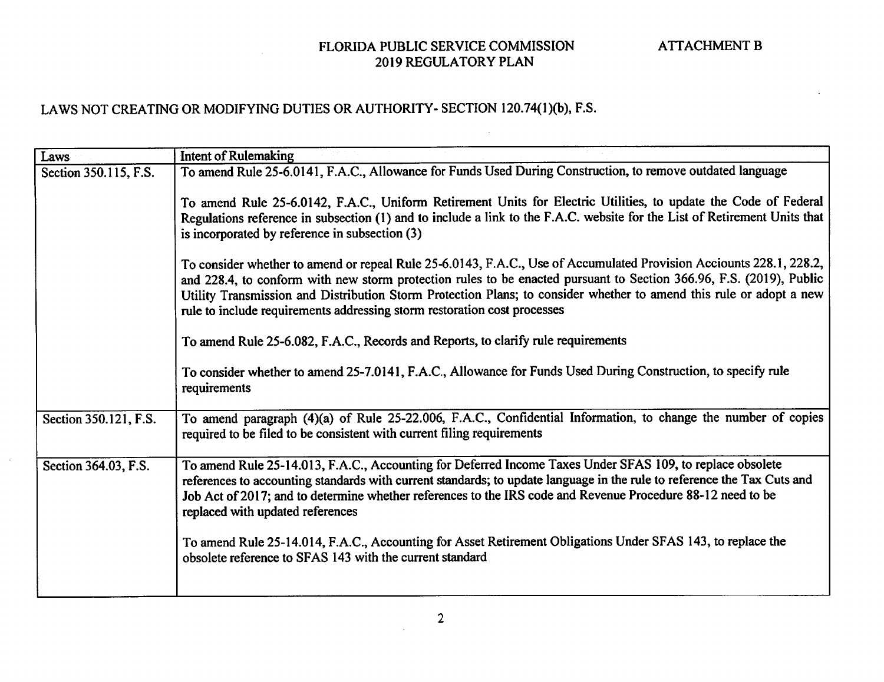| Laws                  | <b>Intent of Rulemaking</b>                                                                                                                                                                                                                                                                                                                                                                                                                   |
|-----------------------|-----------------------------------------------------------------------------------------------------------------------------------------------------------------------------------------------------------------------------------------------------------------------------------------------------------------------------------------------------------------------------------------------------------------------------------------------|
| Section 350.115, F.S. | To amend Rule 25-6.0141, F.A.C., Allowance for Funds Used During Construction, to remove outdated language                                                                                                                                                                                                                                                                                                                                    |
|                       | To amend Rule 25-6.0142, F.A.C., Uniform Retirement Units for Electric Utilities, to update the Code of Federal<br>Regulations reference in subsection (1) and to include a link to the F.A.C. website for the List of Retirement Units that<br>is incorporated by reference in subsection (3)                                                                                                                                                |
|                       | To consider whether to amend or repeal Rule 25-6.0143, F.A.C., Use of Accumulated Provision Acciounts 228.1, 228.2,<br>and 228.4, to conform with new storm protection rules to be enacted pursuant to Section 366.96, F.S. (2019), Public<br>Utility Transmission and Distribution Storm Protection Plans; to consider whether to amend this rule or adopt a new<br>rule to include requirements addressing storm restoration cost processes |
|                       | To amend Rule 25-6.082, F.A.C., Records and Reports, to clarify rule requirements                                                                                                                                                                                                                                                                                                                                                             |
|                       | To consider whether to amend 25-7.0141, F.A.C., Allowance for Funds Used During Construction, to specify rule<br>requirements                                                                                                                                                                                                                                                                                                                 |
| Section 350.121, F.S. | To amend paragraph (4)(a) of Rule 25-22.006, F.A.C., Confidential Information, to change the number of copies<br>required to be filed to be consistent with current filing requirements                                                                                                                                                                                                                                                       |
| Section 364.03, F.S.  | To amend Rule 25-14.013, F.A.C., Accounting for Deferred Income Taxes Under SFAS 109, to replace obsolete<br>references to accounting standards with current standards; to update language in the rule to reference the Tax Cuts and<br>Job Act of 2017; and to determine whether references to the IRS code and Revenue Procedure 88-12 need to be<br>replaced with updated references                                                       |
|                       | To amend Rule 25-14.014, F.A.C., Accounting for Asset Retirement Obligations Under SFAS 143, to replace the<br>obsolete reference to SFAS 143 with the current standard                                                                                                                                                                                                                                                                       |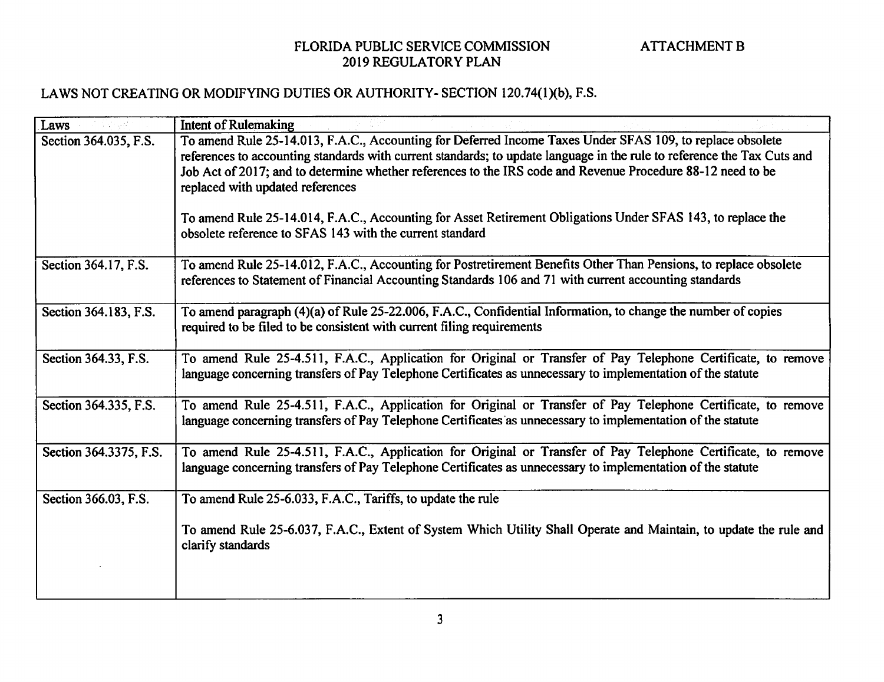| Laws                   | <b>Intent of Rulemaking</b>                                                                                                                                                                                                                                                                                                                                                             |
|------------------------|-----------------------------------------------------------------------------------------------------------------------------------------------------------------------------------------------------------------------------------------------------------------------------------------------------------------------------------------------------------------------------------------|
| Section 364.035, F.S.  | To amend Rule 25-14.013, F.A.C., Accounting for Deferred Income Taxes Under SFAS 109, to replace obsolete<br>references to accounting standards with current standards; to update language in the rule to reference the Tax Cuts and<br>Job Act of 2017; and to determine whether references to the IRS code and Revenue Procedure 88-12 need to be<br>replaced with updated references |
|                        | To amend Rule 25-14.014, F.A.C., Accounting for Asset Retirement Obligations Under SFAS 143, to replace the<br>obsolete reference to SFAS 143 with the current standard                                                                                                                                                                                                                 |
| Section 364.17, F.S.   | To amend Rule 25-14.012, F.A.C., Accounting for Postretirement Benefits Other Than Pensions, to replace obsolete<br>references to Statement of Financial Accounting Standards 106 and 71 with current accounting standards                                                                                                                                                              |
| Section 364.183, F.S.  | To amend paragraph (4)(a) of Rule 25-22.006, F.A.C., Confidential Information, to change the number of copies<br>required to be filed to be consistent with current filing requirements                                                                                                                                                                                                 |
| Section 364.33, F.S.   | To amend Rule 25-4.511, F.A.C., Application for Original or Transfer of Pay Telephone Certificate, to remove<br>language concerning transfers of Pay Telephone Certificates as unnecessary to implementation of the statute                                                                                                                                                             |
| Section 364.335, F.S.  | To amend Rule 25-4.511, F.A.C., Application for Original or Transfer of Pay Telephone Certificate, to remove<br>language concerning transfers of Pay Telephone Certificates as unnecessary to implementation of the statute                                                                                                                                                             |
| Section 364.3375, F.S. | To amend Rule 25-4.511, F.A.C., Application for Original or Transfer of Pay Telephone Certificate, to remove<br>language concerning transfers of Pay Telephone Certificates as unnecessary to implementation of the statute                                                                                                                                                             |
| Section 366.03, F.S.   | To amend Rule 25-6.033, F.A.C., Tariffs, to update the rule                                                                                                                                                                                                                                                                                                                             |
|                        | To amend Rule 25-6.037, F.A.C., Extent of System Which Utility Shall Operate and Maintain, to update the rule and<br>clarify standards                                                                                                                                                                                                                                                  |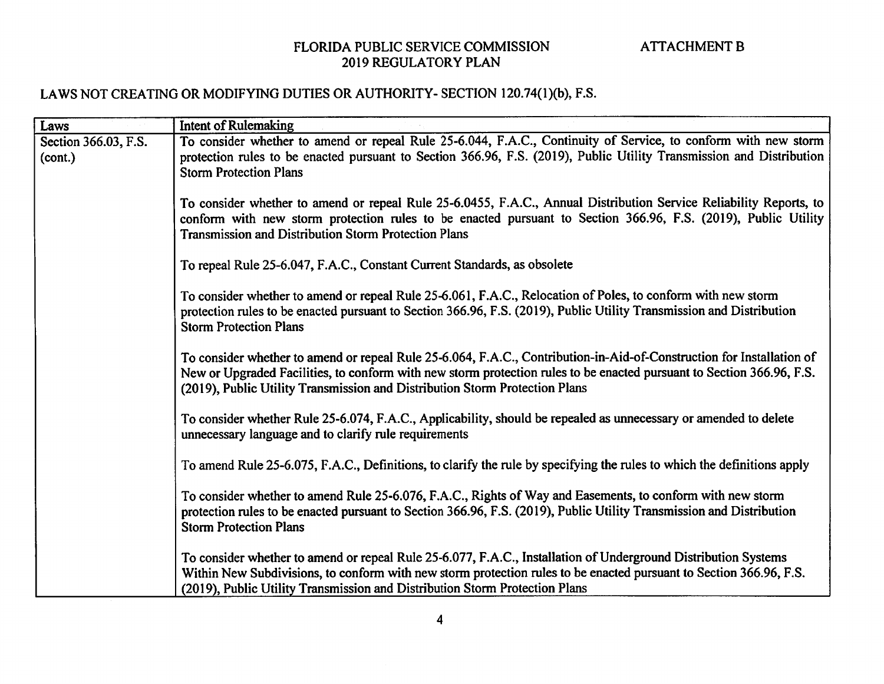| Laws                            | <b>Intent of Rulemaking</b>                                                                                                                                                                                                                                                                                                   |
|---------------------------------|-------------------------------------------------------------------------------------------------------------------------------------------------------------------------------------------------------------------------------------------------------------------------------------------------------------------------------|
| Section 366.03, F.S.<br>(cont.) | To consider whether to amend or repeal Rule 25-6.044, F.A.C., Continuity of Service, to conform with new storm<br>protection rules to be enacted pursuant to Section 366.96, F.S. (2019), Public Utility Transmission and Distribution<br><b>Storm Protection Plans</b>                                                       |
|                                 | To consider whether to amend or repeal Rule 25-6.0455, F.A.C., Annual Distribution Service Reliability Reports, to<br>conform with new storm protection rules to be enacted pursuant to Section 366.96, F.S. (2019), Public Utility<br><b>Transmission and Distribution Storm Protection Plans</b>                            |
|                                 | To repeal Rule 25-6.047, F.A.C., Constant Current Standards, as obsolete                                                                                                                                                                                                                                                      |
|                                 | To consider whether to amend or repeal Rule 25-6.061, F.A.C., Relocation of Poles, to conform with new storm<br>protection rules to be enacted pursuant to Section 366.96, F.S. (2019), Public Utility Transmission and Distribution<br><b>Storm Protection Plans</b>                                                         |
|                                 | To consider whether to amend or repeal Rule 25-6.064, F.A.C., Contribution-in-Aid-of-Construction for Installation of<br>New or Upgraded Facilities, to conform with new storm protection rules to be enacted pursuant to Section 366.96, F.S.<br>(2019), Public Utility Transmission and Distribution Storm Protection Plans |
|                                 | To consider whether Rule 25-6.074, F.A.C., Applicability, should be repealed as unnecessary or amended to delete<br>unnecessary language and to clarify rule requirements                                                                                                                                                     |
|                                 | To amend Rule 25-6.075, F.A.C., Definitions, to clarify the rule by specifying the rules to which the definitions apply                                                                                                                                                                                                       |
|                                 | To consider whether to amend Rule 25-6.076, F.A.C., Rights of Way and Easements, to conform with new storm<br>protection rules to be enacted pursuant to Section 366.96, F.S. (2019), Public Utility Transmission and Distribution<br><b>Storm Protection Plans</b>                                                           |
|                                 | To consider whether to amend or repeal Rule 25-6.077, F.A.C., Installation of Underground Distribution Systems<br>Within New Subdivisions, to conform with new storm protection rules to be enacted pursuant to Section 366.96, F.S.<br>(2019), Public Utility Transmission and Distribution Storm Protection Plans           |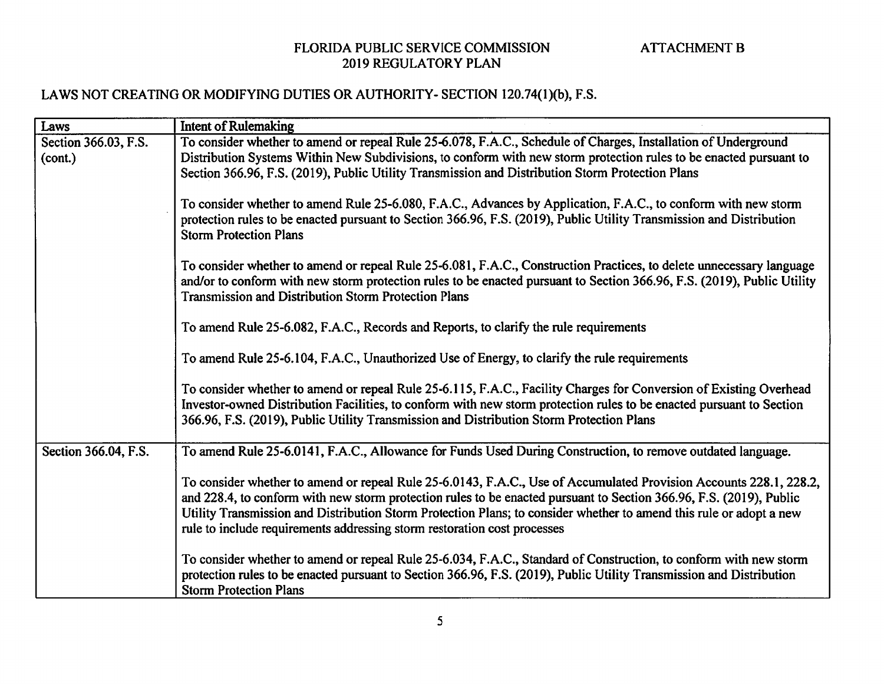| Laws                 | <b>Intent of Rulemaking</b>                                                                                                                                                                                                                                                                                                                                                                                                                  |
|----------------------|----------------------------------------------------------------------------------------------------------------------------------------------------------------------------------------------------------------------------------------------------------------------------------------------------------------------------------------------------------------------------------------------------------------------------------------------|
| Section 366.03, F.S. | To consider whether to amend or repeal Rule 25-6.078, F.A.C., Schedule of Charges, Installation of Underground                                                                                                                                                                                                                                                                                                                               |
| (cont.)              | Distribution Systems Within New Subdivisions, to conform with new storm protection rules to be enacted pursuant to<br>Section 366.96, F.S. (2019), Public Utility Transmission and Distribution Storm Protection Plans                                                                                                                                                                                                                       |
|                      |                                                                                                                                                                                                                                                                                                                                                                                                                                              |
|                      | To consider whether to amend Rule 25-6.080, F.A.C., Advances by Application, F.A.C., to conform with new storm<br>protection rules to be enacted pursuant to Section 366.96, F.S. (2019), Public Utility Transmission and Distribution<br><b>Storm Protection Plans</b>                                                                                                                                                                      |
|                      | To consider whether to amend or repeal Rule 25-6.081, F.A.C., Construction Practices, to delete unnecessary language<br>and/or to conform with new storm protection rules to be enacted pursuant to Section 366.96, F.S. (2019), Public Utility<br><b>Transmission and Distribution Storm Protection Plans</b>                                                                                                                               |
|                      | To amend Rule 25-6.082, F.A.C., Records and Reports, to clarify the rule requirements                                                                                                                                                                                                                                                                                                                                                        |
|                      | To amend Rule 25-6.104, F.A.C., Unauthorized Use of Energy, to clarify the rule requirements                                                                                                                                                                                                                                                                                                                                                 |
|                      | To consider whether to amend or repeal Rule 25-6.115, F.A.C., Facility Charges for Conversion of Existing Overhead<br>Investor-owned Distribution Facilities, to conform with new storm protection rules to be enacted pursuant to Section<br>366.96, F.S. (2019), Public Utility Transmission and Distribution Storm Protection Plans                                                                                                       |
| Section 366.04, F.S. | To amend Rule 25-6.0141, F.A.C., Allowance for Funds Used During Construction, to remove outdated language.                                                                                                                                                                                                                                                                                                                                  |
|                      | To consider whether to amend or repeal Rule 25-6.0143, F.A.C., Use of Accumulated Provision Accounts 228.1, 228.2,<br>and 228.4, to conform with new storm protection rules to be enacted pursuant to Section 366.96, F.S. (2019), Public<br>Utility Transmission and Distribution Storm Protection Plans; to consider whether to amend this rule or adopt a new<br>rule to include requirements addressing storm restoration cost processes |
|                      | To consider whether to amend or repeal Rule 25-6.034, F.A.C., Standard of Construction, to conform with new storm<br>protection rules to be enacted pursuant to Section 366.96, F.S. (2019), Public Utility Transmission and Distribution<br><b>Storm Protection Plans</b>                                                                                                                                                                   |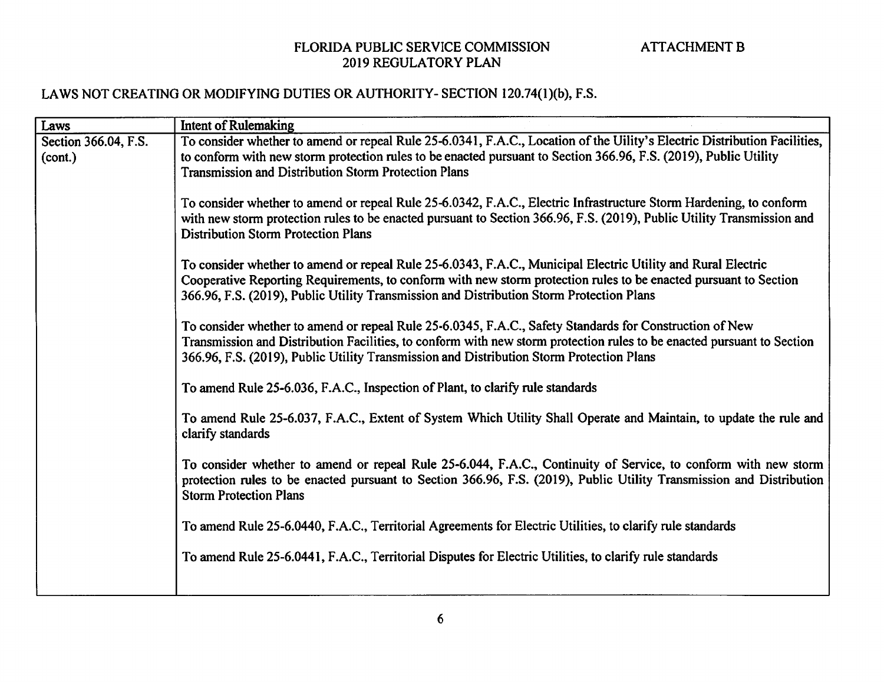| Laws                            | <b>Intent of Rulemaking</b>                                                                                                                                                                                                                                                                                                   |
|---------------------------------|-------------------------------------------------------------------------------------------------------------------------------------------------------------------------------------------------------------------------------------------------------------------------------------------------------------------------------|
| Section 366.04, F.S.<br>(cont.) | To consider whether to amend or repeal Rule 25-6.0341, F.A.C., Location of the Uility's Electric Distribution Facilities,<br>to conform with new storm protection rules to be enacted pursuant to Section 366.96, F.S. (2019), Public Utility                                                                                 |
|                                 | <b>Transmission and Distribution Storm Protection Plans</b>                                                                                                                                                                                                                                                                   |
|                                 | To consider whether to amend or repeal Rule 25-6.0342, F.A.C., Electric Infrastructure Storm Hardening, to conform<br>with new storm protection rules to be enacted pursuant to Section 366.96, F.S. (2019), Public Utility Transmission and<br><b>Distribution Storm Protection Plans</b>                                    |
|                                 | To consider whether to amend or repeal Rule 25-6.0343, F.A.C., Municipal Electric Utility and Rural Electric<br>Cooperative Reporting Requirements, to conform with new storm protection rules to be enacted pursuant to Section<br>366.96, F.S. (2019), Public Utility Transmission and Distribution Storm Protection Plans  |
|                                 | To consider whether to amend or repeal Rule 25-6.0345, F.A.C., Safety Standards for Construction of New<br>Transmission and Distribution Facilities, to conform with new storm protection rules to be enacted pursuant to Section<br>366.96, F.S. (2019), Public Utility Transmission and Distribution Storm Protection Plans |
|                                 | To amend Rule 25-6.036, F.A.C., Inspection of Plant, to clarify rule standards                                                                                                                                                                                                                                                |
|                                 | To amend Rule 25-6.037, F.A.C., Extent of System Which Utility Shall Operate and Maintain, to update the rule and<br>clarify standards                                                                                                                                                                                        |
|                                 | To consider whether to amend or repeal Rule 25-6.044, F.A.C., Continuity of Service, to conform with new storm<br>protection rules to be enacted pursuant to Section 366.96, F.S. (2019), Public Utility Transmission and Distribution<br><b>Storm Protection Plans</b>                                                       |
|                                 | To amend Rule 25-6.0440, F.A.C., Territorial Agreements for Electric Utilities, to clarify rule standards                                                                                                                                                                                                                     |
|                                 | To amend Rule 25-6.0441, F.A.C., Territorial Disputes for Electric Utilities, to clarify rule standards                                                                                                                                                                                                                       |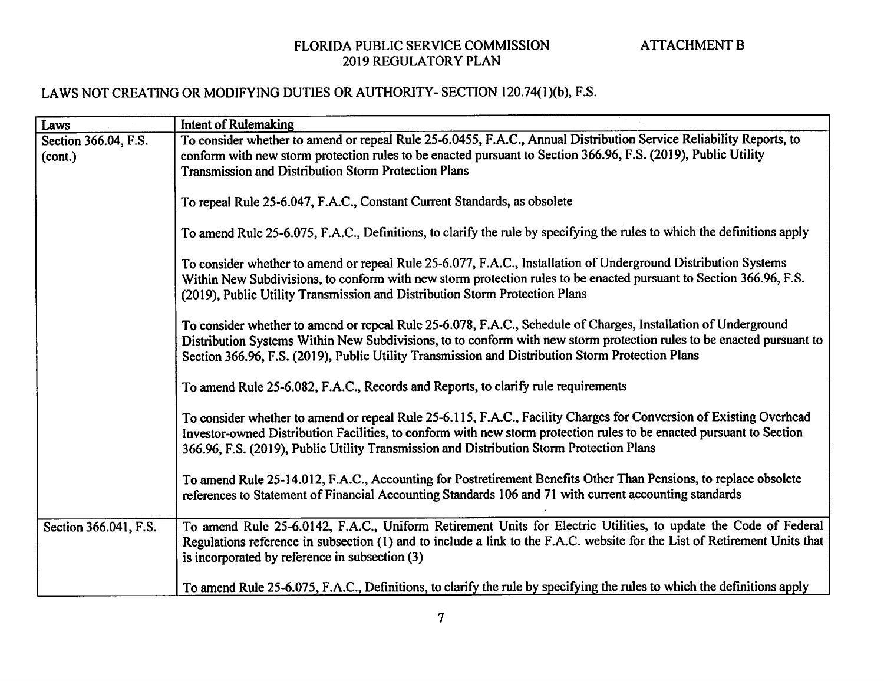| Laws                            | <b>Intent of Rulemaking</b>                                                                                                                                                                                                                                                                                                                 |
|---------------------------------|---------------------------------------------------------------------------------------------------------------------------------------------------------------------------------------------------------------------------------------------------------------------------------------------------------------------------------------------|
| Section 366.04, F.S.<br>(cont.) | To consider whether to amend or repeal Rule 25-6.0455, F.A.C., Annual Distribution Service Reliability Reports, to<br>conform with new storm protection rules to be enacted pursuant to Section 366.96, F.S. (2019), Public Utility                                                                                                         |
|                                 | <b>Transmission and Distribution Storm Protection Plans</b>                                                                                                                                                                                                                                                                                 |
|                                 | To repeal Rule 25-6.047, F.A.C., Constant Current Standards, as obsolete                                                                                                                                                                                                                                                                    |
|                                 | To amend Rule 25-6.075, F.A.C., Definitions, to clarify the rule by specifying the rules to which the definitions apply                                                                                                                                                                                                                     |
|                                 | To consider whether to amend or repeal Rule 25-6.077, F.A.C., Installation of Underground Distribution Systems<br>Within New Subdivisions, to conform with new storm protection rules to be enacted pursuant to Section 366.96, F.S.<br>(2019), Public Utility Transmission and Distribution Storm Protection Plans                         |
|                                 | To consider whether to amend or repeal Rule 25-6.078, F.A.C., Schedule of Charges, Installation of Underground<br>Distribution Systems Within New Subdivisions, to to conform with new storm protection rules to be enacted pursuant to<br>Section 366.96, F.S. (2019), Public Utility Transmission and Distribution Storm Protection Plans |
|                                 | To amend Rule 25-6.082, F.A.C., Records and Reports, to clarify rule requirements                                                                                                                                                                                                                                                           |
|                                 | To consider whether to amend or repeal Rule 25-6.115, F.A.C., Facility Charges for Conversion of Existing Overhead<br>Investor-owned Distribution Facilities, to conform with new storm protection rules to be enacted pursuant to Section<br>366.96, F.S. (2019), Public Utility Transmission and Distribution Storm Protection Plans      |
|                                 | To amend Rule 25-14.012, F.A.C., Accounting for Postretirement Benefits Other Than Pensions, to replace obsolete<br>references to Statement of Financial Accounting Standards 106 and 71 with current accounting standards                                                                                                                  |
| Section 366.041, F.S.           | To amend Rule 25-6.0142, F.A.C., Uniform Retirement Units for Electric Utilities, to update the Code of Federal<br>Regulations reference in subsection (1) and to include a link to the F.A.C. website for the List of Retirement Units that<br>is incorporated by reference in subsection (3)                                              |
|                                 | To amend Rule 25-6.075, F.A.C., Definitions, to clarify the rule by specifying the rules to which the definitions apply                                                                                                                                                                                                                     |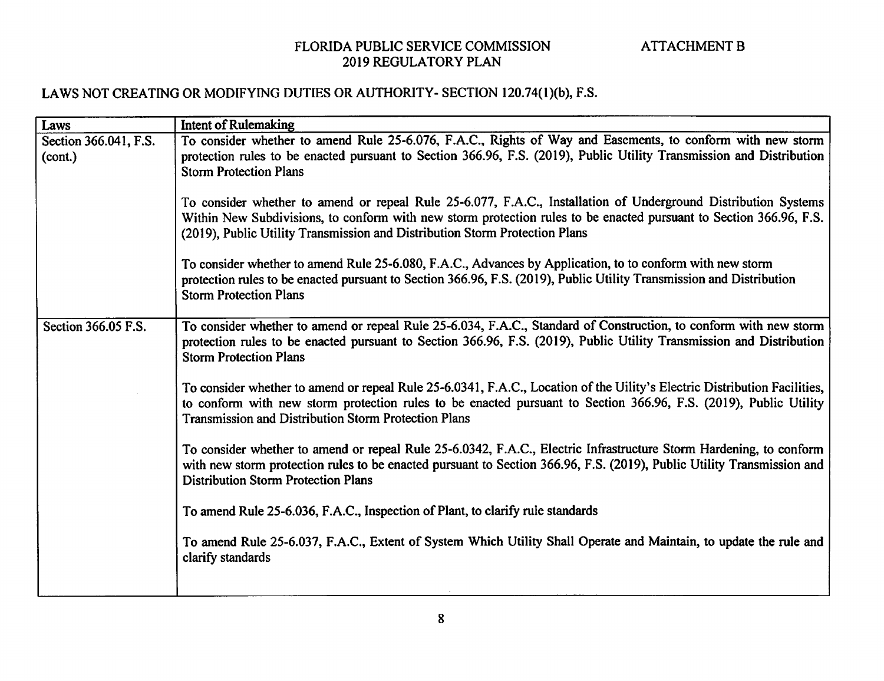| Laws                  | <b>Intent of Rulemaking</b>                                                                                                                                                                                                                                                                                         |
|-----------------------|---------------------------------------------------------------------------------------------------------------------------------------------------------------------------------------------------------------------------------------------------------------------------------------------------------------------|
| Section 366.041, F.S. | To consider whether to amend Rule 25-6.076, F.A.C., Rights of Way and Easements, to conform with new storm                                                                                                                                                                                                          |
| (cont.)               | protection rules to be enacted pursuant to Section 366.96, F.S. (2019), Public Utility Transmission and Distribution                                                                                                                                                                                                |
|                       | <b>Storm Protection Plans</b>                                                                                                                                                                                                                                                                                       |
|                       | To consider whether to amend or repeal Rule 25-6.077, F.A.C., Installation of Underground Distribution Systems<br>Within New Subdivisions, to conform with new storm protection rules to be enacted pursuant to Section 366.96, F.S.<br>(2019), Public Utility Transmission and Distribution Storm Protection Plans |
|                       | To consider whether to amend Rule 25-6.080, F.A.C., Advances by Application, to to conform with new storm<br>protection rules to be enacted pursuant to Section 366.96, F.S. (2019), Public Utility Transmission and Distribution                                                                                   |
|                       | <b>Storm Protection Plans</b>                                                                                                                                                                                                                                                                                       |
| Section 366.05 F.S.   | To consider whether to amend or repeal Rule 25-6.034, F.A.C., Standard of Construction, to conform with new storm<br>protection rules to be enacted pursuant to Section 366.96, F.S. (2019), Public Utility Transmission and Distribution<br><b>Storm Protection Plans</b>                                          |
|                       | To consider whether to amend or repeal Rule 25-6.0341, F.A.C., Location of the Uility's Electric Distribution Facilities,<br>to conform with new storm protection rules to be enacted pursuant to Section 366.96, F.S. (2019), Public Utility<br><b>Transmission and Distribution Storm Protection Plans</b>        |
|                       | To consider whether to amend or repeal Rule 25-6.0342, F.A.C., Electric Infrastructure Storm Hardening, to conform<br>with new storm protection rules to be enacted pursuant to Section 366.96, F.S. (2019), Public Utility Transmission and<br><b>Distribution Storm Protection Plans</b>                          |
|                       | To amend Rule 25-6.036, F.A.C., Inspection of Plant, to clarify rule standards                                                                                                                                                                                                                                      |
|                       | To amend Rule 25-6.037, F.A.C., Extent of System Which Utility Shall Operate and Maintain, to update the rule and<br>clarify standards                                                                                                                                                                              |
|                       |                                                                                                                                                                                                                                                                                                                     |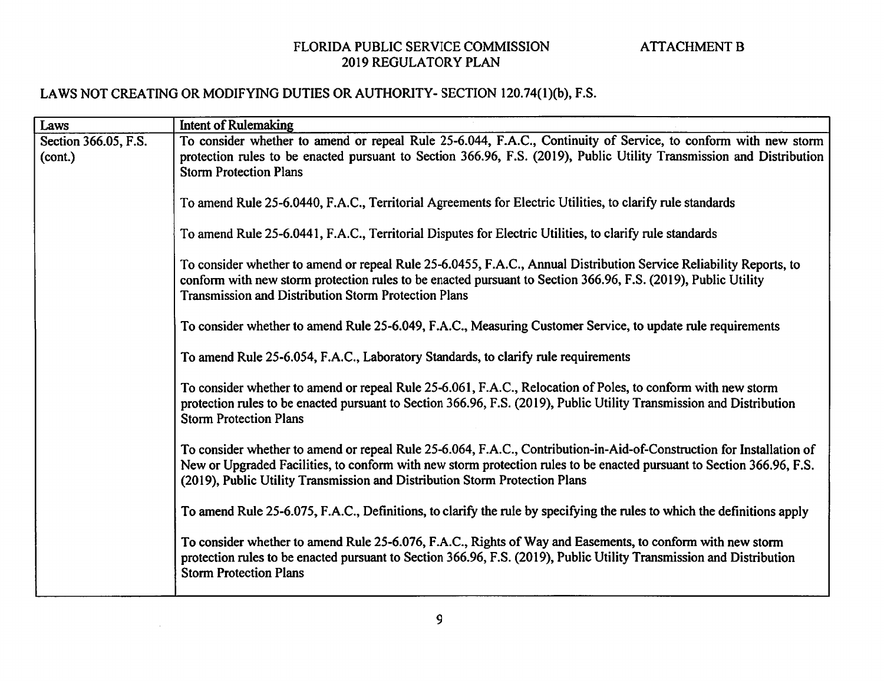### LAWS NOT CREATING OR MODIFYING DUTIES OR AUTHORITY- SECTION 120.74(I)(b), F.S.

 $\sim$ 

| Laws                 | <b>Intent of Rulemaking</b>                                                                                                                                                                          |
|----------------------|------------------------------------------------------------------------------------------------------------------------------------------------------------------------------------------------------|
| Section 366.05, F.S. | To consider whether to amend or repeal Rule 25-6.044, F.A.C., Continuity of Service, to conform with new storm                                                                                       |
| (cont.)              | protection rules to be enacted pursuant to Section 366.96, F.S. (2019), Public Utility Transmission and Distribution                                                                                 |
|                      | <b>Storm Protection Plans</b>                                                                                                                                                                        |
|                      |                                                                                                                                                                                                      |
|                      | To amend Rule 25-6.0440, F.A.C., Territorial Agreements for Electric Utilities, to clarify rule standards                                                                                            |
|                      | To amend Rule 25-6.0441, F.A.C., Territorial Disputes for Electric Utilities, to clarify rule standards                                                                                              |
|                      |                                                                                                                                                                                                      |
|                      | To consider whether to amend or repeal Rule 25-6.0455, F.A.C., Annual Distribution Service Reliability Reports, to                                                                                   |
|                      | conform with new storm protection rules to be enacted pursuant to Section 366.96, F.S. (2019), Public Utility                                                                                        |
|                      | <b>Transmission and Distribution Storm Protection Plans</b>                                                                                                                                          |
|                      |                                                                                                                                                                                                      |
|                      | To consider whether to amend Rule 25-6.049, F.A.C., Measuring Customer Service, to update rule requirements                                                                                          |
|                      | To amend Rule 25-6.054, F.A.C., Laboratory Standards, to clarify rule requirements                                                                                                                   |
|                      | To consider whether to amend or repeal Rule 25-6.061, F.A.C., Relocation of Poles, to conform with new storm                                                                                         |
|                      | protection rules to be enacted pursuant to Section 366.96, F.S. (2019), Public Utility Transmission and Distribution                                                                                 |
|                      | <b>Storm Protection Plans</b>                                                                                                                                                                        |
|                      |                                                                                                                                                                                                      |
|                      | To consider whether to amend or repeal Rule 25-6.064, F.A.C., Contribution-in-Aid-of-Construction for Installation of                                                                                |
|                      | New or Upgraded Facilities, to conform with new storm protection rules to be enacted pursuant to Section 366.96, F.S.<br>(2019), Public Utility Transmission and Distribution Storm Protection Plans |
|                      |                                                                                                                                                                                                      |
|                      | To amend Rule 25-6.075, F.A.C., Definitions, to clarify the rule by specifying the rules to which the definitions apply                                                                              |
|                      |                                                                                                                                                                                                      |
|                      | To consider whether to amend Rule 25-6.076, F.A.C., Rights of Way and Easements, to conform with new storm                                                                                           |
|                      | protection rules to be enacted pursuant to Section 366.96, F.S. (2019), Public Utility Transmission and Distribution<br><b>Storm Protection Plans</b>                                                |
|                      |                                                                                                                                                                                                      |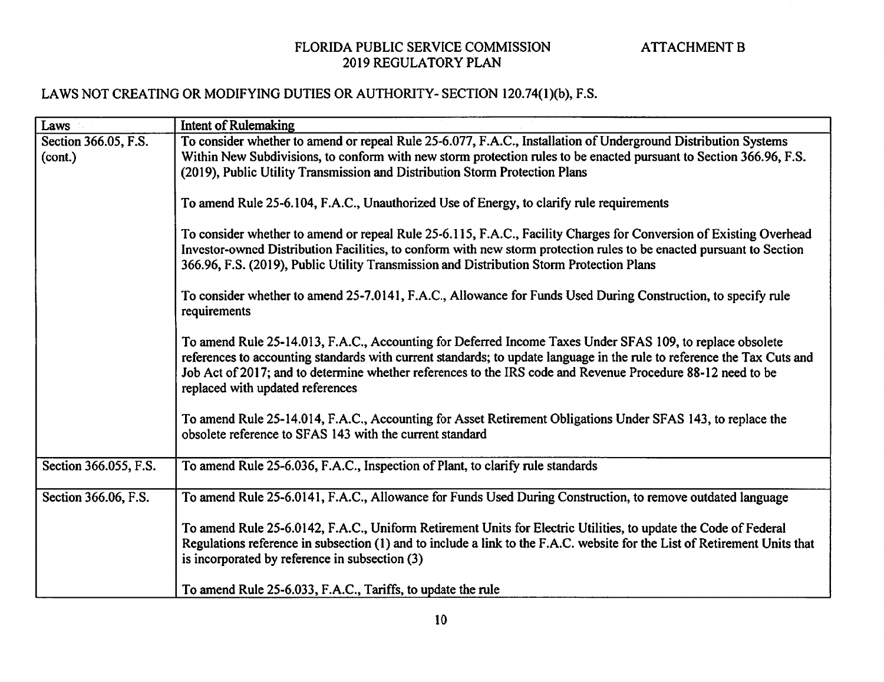| Laws                            | <b>Intent of Rulemaking</b>                                                                                                                                                                                                                                                                                                                                                             |
|---------------------------------|-----------------------------------------------------------------------------------------------------------------------------------------------------------------------------------------------------------------------------------------------------------------------------------------------------------------------------------------------------------------------------------------|
| Section 366.05, F.S.<br>(cont.) | To consider whether to amend or repeal Rule 25-6.077, F.A.C., Installation of Underground Distribution Systems<br>Within New Subdivisions, to conform with new storm protection rules to be enacted pursuant to Section 366.96, F.S.<br>(2019), Public Utility Transmission and Distribution Storm Protection Plans                                                                     |
|                                 | To amend Rule 25-6.104, F.A.C., Unauthorized Use of Energy, to clarify rule requirements                                                                                                                                                                                                                                                                                                |
|                                 | To consider whether to amend or repeal Rule 25-6.115, F.A.C., Facility Charges for Conversion of Existing Overhead<br>Investor-owned Distribution Facilities, to conform with new storm protection rules to be enacted pursuant to Section<br>366.96, F.S. (2019), Public Utility Transmission and Distribution Storm Protection Plans                                                  |
|                                 | To consider whether to amend 25-7.0141, F.A.C., Allowance for Funds Used During Construction, to specify rule<br>requirements                                                                                                                                                                                                                                                           |
|                                 | To amend Rule 25-14.013, F.A.C., Accounting for Deferred Income Taxes Under SFAS 109, to replace obsolete<br>references to accounting standards with current standards; to update language in the rule to reference the Tax Cuts and<br>Job Act of 2017; and to determine whether references to the IRS code and Revenue Procedure 88-12 need to be<br>replaced with updated references |
|                                 | To amend Rule 25-14.014, F.A.C., Accounting for Asset Retirement Obligations Under SFAS 143, to replace the<br>obsolete reference to SFAS 143 with the current standard                                                                                                                                                                                                                 |
| Section 366.055, F.S.           | To amend Rule 25-6.036, F.A.C., Inspection of Plant, to clarify rule standards                                                                                                                                                                                                                                                                                                          |
| Section 366.06, F.S.            | To amend Rule 25-6.0141, F.A.C., Allowance for Funds Used During Construction, to remove outdated language                                                                                                                                                                                                                                                                              |
|                                 | To amend Rule 25-6.0142, F.A.C., Uniform Retirement Units for Electric Utilities, to update the Code of Federal<br>Regulations reference in subsection (1) and to include a link to the F.A.C. website for the List of Retirement Units that<br>is incorporated by reference in subsection (3)                                                                                          |
|                                 | To amend Rule 25-6.033, F.A.C., Tariffs, to update the rule                                                                                                                                                                                                                                                                                                                             |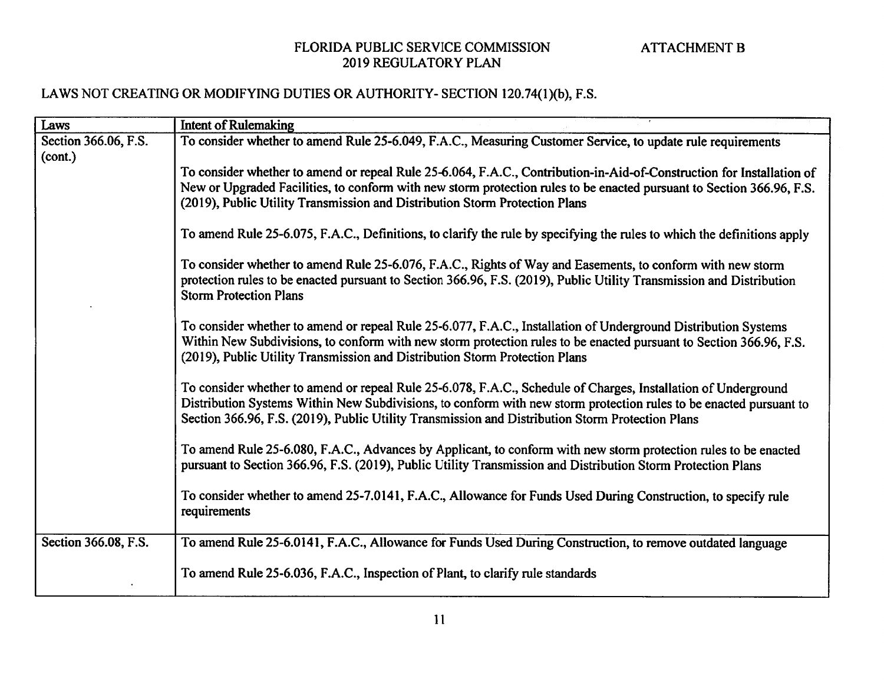| Laws                 | <b>Intent of Rulemaking</b>                                                                                             |
|----------------------|-------------------------------------------------------------------------------------------------------------------------|
| Section 366.06, F.S. | To consider whether to amend Rule 25-6.049, F.A.C., Measuring Customer Service, to update rule requirements             |
| (cont.)              |                                                                                                                         |
|                      | To consider whether to amend or repeal Rule 25-6.064, F.A.C., Contribution-in-Aid-of-Construction for Installation of   |
|                      | New or Upgraded Facilities, to conform with new storm protection rules to be enacted pursuant to Section 366.96, F.S.   |
|                      | (2019), Public Utility Transmission and Distribution Storm Protection Plans                                             |
|                      |                                                                                                                         |
|                      | To amend Rule 25-6.075, F.A.C., Definitions, to clarify the rule by specifying the rules to which the definitions apply |
|                      |                                                                                                                         |
|                      | To consider whether to amend Rule 25-6.076, F.A.C., Rights of Way and Easements, to conform with new storm              |
|                      | protection rules to be enacted pursuant to Section 366.96, F.S. (2019), Public Utility Transmission and Distribution    |
|                      | <b>Storm Protection Plans</b>                                                                                           |
|                      |                                                                                                                         |
|                      | To consider whether to amend or repeal Rule 25-6.077, F.A.C., Installation of Underground Distribution Systems          |
|                      | Within New Subdivisions, to conform with new storm protection rules to be enacted pursuant to Section 366.96, F.S.      |
|                      | (2019), Public Utility Transmission and Distribution Storm Protection Plans                                             |
|                      | To consider whether to amend or repeal Rule 25-6.078, F.A.C., Schedule of Charges, Installation of Underground          |
|                      | Distribution Systems Within New Subdivisions, to conform with new storm protection rules to be enacted pursuant to      |
|                      | Section 366.96, F.S. (2019), Public Utility Transmission and Distribution Storm Protection Plans                        |
|                      |                                                                                                                         |
|                      | To amend Rule 25-6.080, F.A.C., Advances by Applicant, to conform with new storm protection rules to be enacted         |
|                      | pursuant to Section 366.96, F.S. (2019), Public Utility Transmission and Distribution Storm Protection Plans            |
|                      |                                                                                                                         |
|                      | To consider whether to amend 25-7.0141, F.A.C., Allowance for Funds Used During Construction, to specify rule           |
|                      | requirements                                                                                                            |
|                      |                                                                                                                         |
| Section 366.08, F.S. | To amend Rule 25-6.0141, F.A.C., Allowance for Funds Used During Construction, to remove outdated language              |
|                      |                                                                                                                         |
|                      | To amend Rule 25-6.036, F.A.C., Inspection of Plant, to clarify rule standards                                          |
|                      |                                                                                                                         |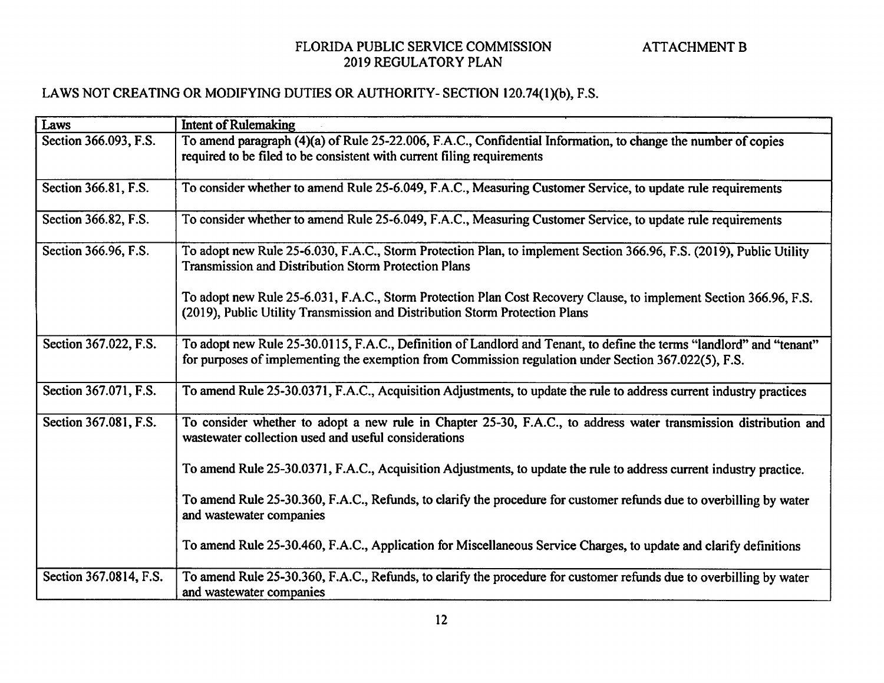| Laws                   | <b>Intent of Rulemaking</b>                                                                                                                                                                                                  |
|------------------------|------------------------------------------------------------------------------------------------------------------------------------------------------------------------------------------------------------------------------|
| Section 366.093, F.S.  | To amend paragraph (4)(a) of Rule 25-22.006, F.A.C., Confidential Information, to change the number of copies                                                                                                                |
|                        | required to be filed to be consistent with current filing requirements                                                                                                                                                       |
|                        |                                                                                                                                                                                                                              |
| Section 366.81, F.S.   | To consider whether to amend Rule 25-6.049, F.A.C., Measuring Customer Service, to update rule requirements                                                                                                                  |
| Section 366.82, F.S.   | To consider whether to amend Rule 25-6.049, F.A.C., Measuring Customer Service, to update rule requirements                                                                                                                  |
| Section 366.96, F.S.   | To adopt new Rule 25-6.030, F.A.C., Storm Protection Plan, to implement Section 366.96, F.S. (2019), Public Utility<br>Transmission and Distribution Storm Protection Plans                                                  |
|                        | To adopt new Rule 25-6.031, F.A.C., Storm Protection Plan Cost Recovery Clause, to implement Section 366.96, F.S.<br>(2019), Public Utility Transmission and Distribution Storm Protection Plans                             |
| Section 367.022, F.S.  | To adopt new Rule 25-30.0115, F.A.C., Definition of Landlord and Tenant, to define the terms "landlord" and "tenant"<br>for purposes of implementing the exemption from Commission regulation under Section 367.022(5), F.S. |
| Section 367.071, F.S.  | To amend Rule 25-30.0371, F.A.C., Acquisition Adjustments, to update the rule to address current industry practices                                                                                                          |
| Section 367.081, F.S.  | To consider whether to adopt a new rule in Chapter 25-30, F.A.C., to address water transmission distribution and<br>wastewater collection used and useful considerations                                                     |
|                        | To amend Rule 25-30.0371, F.A.C., Acquisition Adjustments, to update the rule to address current industry practice.                                                                                                          |
|                        | To amend Rule 25-30.360, F.A.C., Refunds, to clarify the procedure for customer refunds due to overbilling by water<br>and wastewater companies                                                                              |
|                        | To amend Rule 25-30.460, F.A.C., Application for Miscellaneous Service Charges, to update and clarify definitions                                                                                                            |
| Section 367.0814, F.S. | To amend Rule 25-30.360, F.A.C., Refunds, to clarify the procedure for customer refunds due to overbilling by water<br>and wastewater companies                                                                              |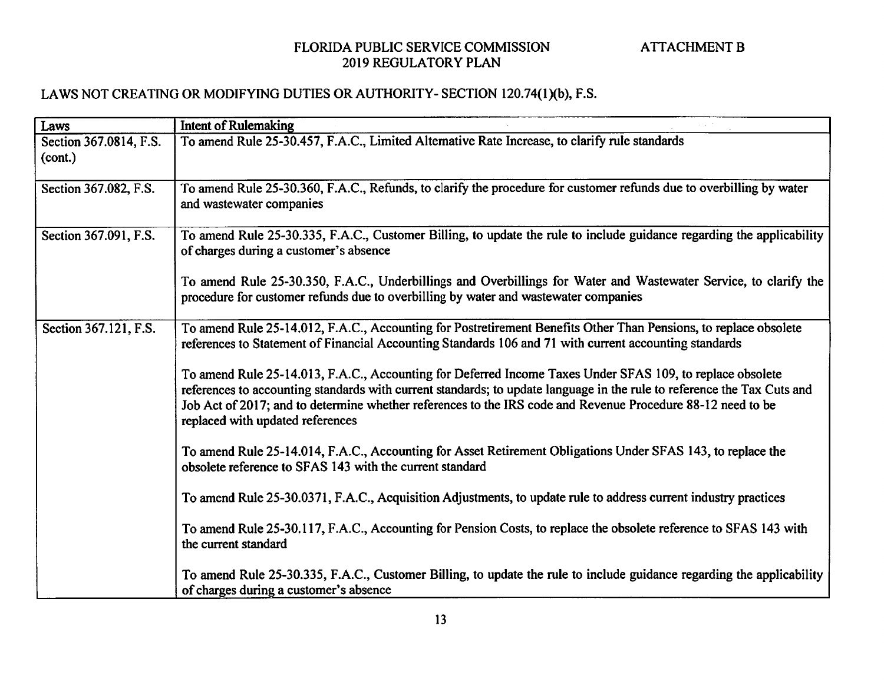| Laws                              | <b>Intent of Rulemaking</b>                                                                                                                                                                                                                                                                                                                                                             |
|-----------------------------------|-----------------------------------------------------------------------------------------------------------------------------------------------------------------------------------------------------------------------------------------------------------------------------------------------------------------------------------------------------------------------------------------|
| Section 367.0814, F.S.<br>(cont.) | To amend Rule 25-30.457, F.A.C., Limited Alternative Rate Increase, to clarify rule standards                                                                                                                                                                                                                                                                                           |
| Section 367.082, F.S.             | To amend Rule 25-30.360, F.A.C., Refunds, to clarify the procedure for customer refunds due to overbilling by water<br>and wastewater companies                                                                                                                                                                                                                                         |
| Section 367.091, F.S.             | To amend Rule 25-30.335, F.A.C., Customer Billing, to update the rule to include guidance regarding the applicability<br>of charges during a customer's absence                                                                                                                                                                                                                         |
|                                   | To amend Rule 25-30.350, F.A.C., Underbillings and Overbillings for Water and Wastewater Service, to clarify the<br>procedure for customer refunds due to overbilling by water and wastewater companies                                                                                                                                                                                 |
| Section 367.121, F.S.             | To amend Rule 25-14.012, F.A.C., Accounting for Postretirement Benefits Other Than Pensions, to replace obsolete<br>references to Statement of Financial Accounting Standards 106 and 71 with current accounting standards                                                                                                                                                              |
|                                   | To amend Rule 25-14.013, F.A.C., Accounting for Deferred Income Taxes Under SFAS 109, to replace obsolete<br>references to accounting standards with current standards; to update language in the rule to reference the Tax Cuts and<br>Job Act of 2017; and to determine whether references to the IRS code and Revenue Procedure 88-12 need to be<br>replaced with updated references |
|                                   | To amend Rule 25-14.014, F.A.C., Accounting for Asset Retirement Obligations Under SFAS 143, to replace the<br>obsolete reference to SFAS 143 with the current standard                                                                                                                                                                                                                 |
|                                   | To amend Rule 25-30.0371, F.A.C., Acquisition Adjustments, to update rule to address current industry practices                                                                                                                                                                                                                                                                         |
|                                   | To amend Rule 25-30.117, F.A.C., Accounting for Pension Costs, to replace the obsolete reference to SFAS 143 with<br>the current standard                                                                                                                                                                                                                                               |
|                                   | To amend Rule 25-30.335, F.A.C., Customer Billing, to update the rule to include guidance regarding the applicability<br>of charges during a customer's absence                                                                                                                                                                                                                         |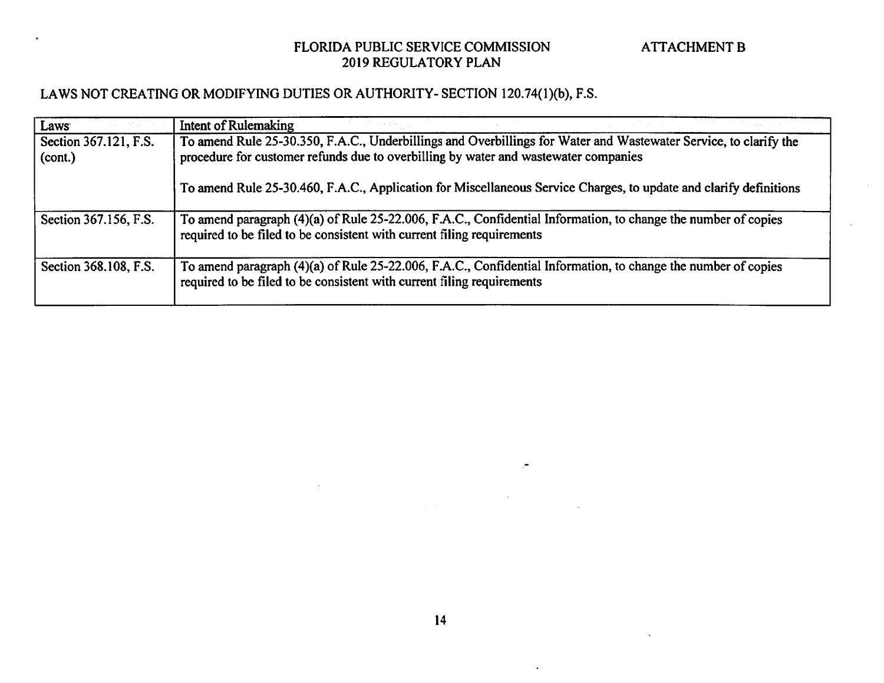| Laws:                            | Intent of Rulemaking                                                                                                                                                                                    |
|----------------------------------|---------------------------------------------------------------------------------------------------------------------------------------------------------------------------------------------------------|
| Section 367.121, F.S.<br>(cont.) | To amend Rule 25-30.350, F.A.C., Underbillings and Overbillings for Water and Wastewater Service, to clarify the<br>procedure for customer refunds due to overbilling by water and wastewater companies |
|                                  | To amend Rule 25-30.460, F.A.C., Application for Miscellaneous Service Charges, to update and clarify definitions                                                                                       |
| Section 367.156, F.S.            | To amend paragraph (4)(a) of Rule 25-22.006, F.A.C., Confidential Information, to change the number of copies<br>required to be filed to be consistent with current filing requirements                 |
| Section 368.108, F.S.            | To amend paragraph (4)(a) of Rule 25-22.006, F.A.C., Confidential Information, to change the number of copies<br>required to be filed to be consistent with current filing requirements                 |